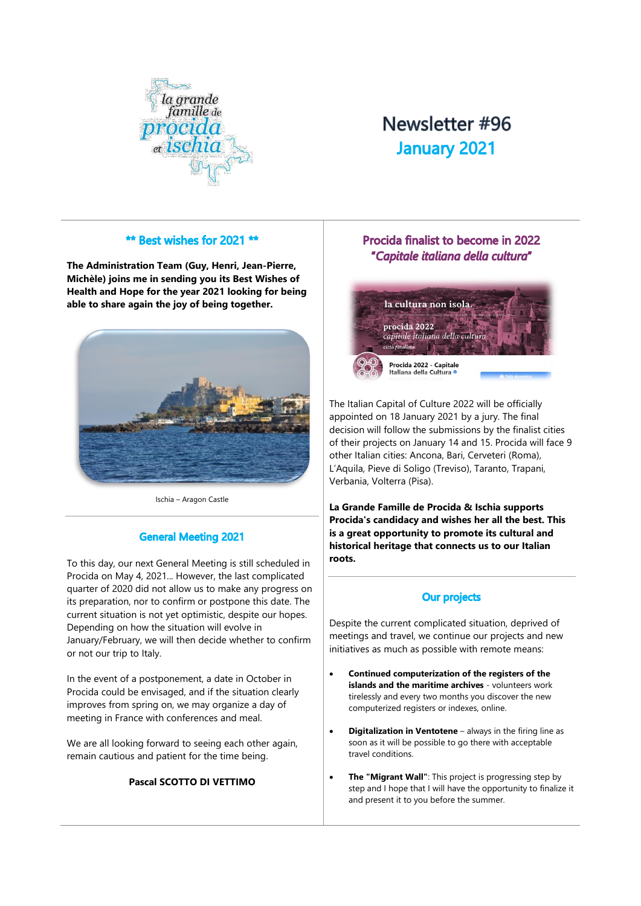

# Newsletter #96 **January 2021**

#### \*\* Best wishes for 2021 \*\*

**The Administration Team (Guy, Henri, Jean-Pierre, Michèle) joins me in sending you its Best Wishes of Health and Hope for the year 2021 looking for being able to share again the joy of being together.**



Ischia – Aragon Castle

# **General Meeting 2021**

To this day, our next General Meeting is still scheduled in Procida on May 4, 2021... However, the last complicated quarter of 2020 did not allow us to make any progress on its preparation, nor to confirm or postpone this date. The current situation is not yet optimistic, despite our hopes. Depending on how the situation will evolve in January/February, we will then decide whether to confirm or not our trip to Italy.

In the event of a postponement, a date in October in Procida could be envisaged, and if the situation clearly improves from spring on, we may organize a day of meeting in France with conferences and meal.

We are all looking forward to seeing each other again, remain cautious and patient for the time being.

#### **Pascal SCOTTO DI VETTIMO**

# Procida finalist to become in 2022 "Capitale italiana della cultura"



The Italian Capital of Culture 2022 will be officially appointed on 18 January 2021 by a jury. The final decision will follow the submissions by the finalist cities of their projects on January 14 and 15. Procida will face 9 other Italian cities: Ancona, Bari, Cerveteri (Roma), L'Aquila, Pieve di Soligo (Treviso), Taranto, Trapani, Verbania, Volterra (Pisa).

**La Grande Famille de Procida & Ischia supports Procida's candidacy and wishes her all the best. This is a great opportunity to promote its cultural and historical heritage that connects us to our Italian roots.** 

# **Our projects**

Despite the current complicated situation, deprived of meetings and travel, we continue our projects and new initiatives as much as possible with remote means:

- **Continued computerization of the registers of the islands and the maritime archives** - volunteers work tirelessly and every two months you discover the new computerized registers or indexes, online.
- **Digitalization in Ventotene** always in the firing line as soon as it will be possible to go there with acceptable travel conditions.
- **The "Migrant Wall"**: This project is progressing step by step and I hope that I will have the opportunity to finalize it and present it to you before the summer.